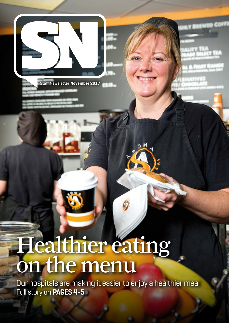

Staff Newsletter **November 2017**

# Healthier eating on the menu

Our hospitals are making it easier to enjoy a healthier meal Full story on **PAGES 4-5**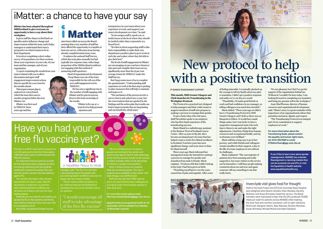This year's staff flu vaccination programme is in full swing and in the first three weeks, 7,959 (20.5 per cent) of staff received their FREE flu vaccine.

It's important that we continue to build on this impressive early response as there are strong indications that we could be heading for a severe flu season this year and the vaccine remains the best defence against flu.

The vaccine only takes a few minutes and protects for about a year. Staff flu vaccination is important, as patients with underlying health conditions are 18 times more likely to die from flu than healthy people.

Staff who are normally fit and healthy can  $\overline{\text{spread the flu to their patients and family}}$ even without knowing if they have very mild or no symptoms at all. Rona Wall, occupational health service

A Healthier Place to Work

manager, said: "The flu virus can have a devastating impact for people with pre-existing health conditions and even on people who are usually healthy.

"The flu vaccine offers protection to our staff and reduces the likelihood of spreading the virus to our families and to our patients.

"We are anticipating an increase in people contracting flu this winter and I would encourage all staff to take advantage of the free flu vaccine. Access to the vaccine is widely available either at the advertised flu clinics or via peer immunisation." Drop-in clinics across our hospital sites are continuing apace. This year's programme is available to view online, visit: www.nhsggc.org.uk/HRconnect

Staff can also get their FREE vaccine and or be vaccinated by their colleagues by arranging a peer immunisation session in their work area.

**For more information please email: PeerImmunisationBooking@ggc.scot.nhs.uk**

**Appointments at occupational health for flu vaccination will be available from Monday 13 November onwards.**

**This month, NHS Greater Glasgow and Clyde launches its Transitioning in the Workplace Protocol.** 

The Protocol is a practical tool, designed to help managers and their wider teams to support members of staff who propose to undergo a process to reassign their gender.

To get a better idea of its relevance, Staff Newsletter spoke to an employee who has first-hand experience of the transitioning process.

Marie Shand is a radiotherapy assistant at the Beatson West of Scotland Cancer Centre. After 14 years in the job, she's become an integral part of a team that has helped create a centre for clinical excellence in Scotland. Fourteen years has seen significant change, and none more so than for Marie herself.

Three years ago Marie informed her management team she intended to undergo a process to reassign her gender and transition from male to female. Marie explains: "I'd always felt that I didn't belong in the body I had been given at birth.

"Watching myself grow over the years caused lots of pain and anguish. After years



of feeling miserable, I eventually plucked up the courage to tell my family about my plan to transition. I didn't get a positive response and sadly we've cut ties as a result.

"Thankfully, I'd made good friends at work and had confidence in my manager, so telling colleagues was much less stressful." Marie added: "Three years ago we didn't have a Transitioning Protocol in NHS Greater Glasgow and Clyde so there was no blueprint to follow. It would have made things easier, but I was lucky to have a supportive management team who took time to listen to me and make the right adjustments. I had lots of help from human resources and occupational health, and my workmates were brilliant."

Marie still has a long way to go in her journey, and while friends and colleagues remain steadfast in their support, a day in the life of a trans employee is not without

its challenges.

"The mechanics of the process involve a survey that is only asked once a year, but the conversations that are sparked by the findings and the action plan that results can lead to improvements that are long lasting and can benefit the whole team."

# Have you had your  $\blacksquare$ free flu vaccine yet?

Marie explained: "The vast majority of patients have been amazing and really supportive, but some visitors to the service can be insensitive. I still hear people making comments about me and now and again someone will say something to me that

really hurts.

"It's not pleasant, but I feel I've got the support of the organisation behind me. Without it I wouldn't be here today. I am looking forward to completing my transition and being my genuine self in the workplace."

 $L = 242$ 

Anne MacPherson, director of human resources and organisational development, said: "Marie's story is a great reminder of the importance of an organisational culture that prioritises inclusion, dignity and respect.

"The Transitioning Protocol is an integral part of our commitment to support employees at work."

**For more information about the Transitioning Guide, please contact the equality and human rights team, tel: 0141 2014560 or email: CITAdminTeam@ggc.scot.nhs.uk** 

Marie Shand

# New protocol to help with a positive transition

#### GENDER REASSIGNMENT SUPPORT

**If you'd like to learn more about gender reassignment, NHSGGC has a Gender Reassignment e-learning module that can be accessed via LearnPro or visit the Equalities in Health website: www.equalitiesinhealth.org**

## iMatter: a chance to have your say

**iMatter has been adopted throughout NHSScotland to give everyone an opportunity to have a say about their workplace.**

It gives staff the chance to feed back on specifics and to influence change and improvement within the team, and it helps managers to understand their team's perspective on what it means to be in their department.

It involves completing a short online survey of 29 questions over three sections about your experience: in your role, of your team and line manager, and of your organisation.

A report containing the results from your team is shared with you to allow discussions and agree staff engagement improvement actions that are specific for your team for the months ahead.

This improvement plan is captured on a storyboard, which the team then uses to monitor progress before the next iMatter run.

iMatter was first used in NHSGGC three years ago and has



since been rolled out across the Board, meaning that every member of staff has been offered the opportunity to complete at least one survey, with some areas having already completed anniversary runs.

It replaces the national Staff Survey, which also took place annually but had typically low response rates, with a large proportion of the NHSScotland workforce not engaging with this method of measuring staff experience.

Head of organisational development

Doug Mann was one of the team responsible for the roll-out of the new staff engagement tool in NHSGGC.

He has seen a significant rise in the number of staff engaging with iMatter and he puts its success down to the local ownership of the results.

"iMatter is for use at a team level to help promote openness and

transparency in your teams about your experience at work, and support your team's development over time," he said.

"It encourages staff to speak out, to tackle issues at the level where they should be tackled rather than corporately at a Board level.

"Its ethos is about supporting staff to take back responsibility to make their own department a positive place to go to work in each day and a place where they feel able to give their best."

The levels of staff engagement in iMatter are encouraging; 60 per cent have chosen to take part and complete their team survey, significantly more than the 25 per cent average return for NHSGGC under the Staff Survey.

But Doug wants more of us to complete the questionnaire: "Understanding staff experience at work is the first step to putting in place measures that will help to maintain and improve it.

"I would encourage all staff to take advantage of the free flu vaccine"

## Inverclyde visit gives food for thought

Staff at the Cook Freeze Unit (CFU) at Inverclyde Royal Hospital were delighted when Board members Allan Macleod, Dorothy McErlean and Susan Brimelow visited the service. The Board members were impressed to hear that the CFU produced 70,000 meals per week for patients across NHSGGC while meeting the food, fluid and nutrition standards. Left to right: Catherine McConnell, Margaret Valenti, Allan Macleod, Dorothy McErlean, Susan Brimelow, Michael McColl and Helen Davidson.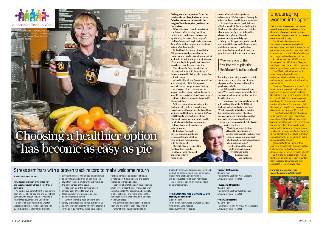## **Encouraging** women into sport

The Scottish Government has teamed up with a number of key leaders from the world of women's sport, business and media to support work to encourage more women into sport.

The initiative builds on recent successes in women's football and netball at a national level. But despite the pockets of progress that have been made in female sport recently, there's still more to do to get girls and women into sport.

And with more than 30,000 women working with us, NHS Greater Glasgow and Clyde is in a prime position to do our bit to support the new national initiative.

Fiona Watt, health improvement senior, is one of many female colleagues who have taken up sport and managed to combine it with working and family life.

So if you're motivated by our female footballers or, like Fiona, want to switch from spectator to participant, then activestaff is just what you need.

Fiona said: "I was never a 'runner', but when I went to university in Newcastle and cheered on everyone at the Great North Run, it gave me the urge to get into it - I watched all these amazing people and thought 'if they can do it so can I', so started training. The next year I did the event and loved it and now ended up doing that specific event 13 times!

"I then had two children in the space of 17 months and I knew I had to find something that would help me get the baby weight off as well as find something for me again, but fitting in with family and work life. When you become a mum, you have to put your kids first so I wanted to find something that I could still train/ compete in without impacting on them – running was the answer."

"Staff who have taken part have reported a high level of retention of knowledge even some time after the session, and an ability to alter behaviour and make changes that can affect factors that contribute to stress in the workplace."

Activestaff offers a range of free sport and physical activity opportunities including jogging, badminton and discounted gym memberships to all staff.

**Monday 27 November**   $9.15$ am-4 $nm$ 

**For more information, visit: www.nhsggc.org.uk/activestaff**



## Stress seminars with a proven track record to make welcome return

#### **STRESS IN HEALTHCARE**

#### New dates have been announced for the hugely popular 'Stress in Healthcare' seminars.

As part of our commitment to supporting staff affected by stress, the one-day stress seminar with proven results is making a return this November and December.

Open to all staff within NHS Greater Glasgow and Clyde, the sessions are run by Martin Davies, a former community

psychiatric nurse, who brings a unique style to training, giving advice on self-help in a style that raises a smile without trivialising the seriousness of the topic.

- More than 30 of the seminars have already been offered to staff and feedback from previous sessions has been extremely positive.
- Kenneth Fleming, head of health and

safety, explained: "We carried out follow-up surveys with participants who have attended in the past 12 months. These have shown

Martin's seminars to be really effective at helping staff develop skills and coping strategies to manage stress.

The seminars can take about 45 people each and any level of staff may attend. Nominations should be made to Jill

Dodds, by email, Jill.dodds@ggc.scot.nhs.uk, and will be accepted on a first-come basis. Please note that a payroll number will be requested for all staff nominated - this is in order to comply with race and

equality legislation.

**THE SEMINARS ARE BEING HELD ON:** 

T5 Seminar Room, Ward 5A, West Glasgow

Ambulatory Care Hospital (previously Yorkhill Hospital)

## **Tuesday 28 November**

at the PRM Aroma, the fi Aroma to open in Scotland nine years ago. Front cover: Yvonne Wilson serves up

9.15am-4pm Medicinema 1st floor, West Glasgow Ambulatory Care Hospital

### **Thursday 14 December**

9.15am-4pm Medicinema 1st floor West Glasgow Ambulatory Care Hospital

#### **Friday 15 December**

9.15am-4pm T5 Seminar Room, Ward 5A, West Glasgow Ambulatory Care Hospital.

**Colleagues who buy meals from the retailers in our hospitals can't have failed to notice the increase in the range of healthy option products on the shelves.**

What might not be so obvious is that our Aroma cafés, vending machines, canteens and trolley services have also significantly increased their range of healthy choices, making it easier than ever for staff (as well as patients and relatives) to look after their health.

Grilled breakfast items; pies with lean fillings; scones with reduced sugar; and pasta, rice and noodle pots with sauces that are low in fat, salt and sugars are just some of the new healthier products to have been introduced over the past 12 months.

There have also been restrictions in high sugar drinks, with the majority of drinks now on offer being either sugar free or low in sugar.

Added to this, all our Aroma sandwiches and the majority of the dining room sandwiches and soups are now healthy.

And as part of our commitment to support staff to enjoy a healthy diet, we're also offering special meal deals on a range of healthier options in all our in-house café/ dining facilities.

With every one of our catering units (including all retailers) now offering a majority of healthy options, the Board has achieved the Healthy Living Awards Plus or NHSScotland's Healthcare Retail Standard – a national scheme devised by the chief medical officer to encourage healthier food and drink choices to be the norm.

Dr Linda de Caestecker, director of public health, has welcomed the news that we have achieved full compliance with the standard.

across all our sites is a significant achievement. We have paved the way for others to observe and follow our success."

To make it as easy as possible for us all to know which foods are healthy, the Healthcare Retail Standard sets out that shops must clearly promote healthier choices through use of branded promotional logos and signage.

Many retailers provide products with nutritional information for items on sale and these are colour coded to show nutritional values, making it easier for people to make informed choices. New

branding is also being introduced within Aroma and our vending machines to signpost staff to the range of healthier products available.

She said: "We were one of the first Boards to pilot the Healthcare Retail Standard and for us to have rolled it out Joe Gilbey

Joe Gilbey, retail manager, catering, said: "You might look at some of the food we have on offer and not realise that it is healthier for you.

"For instance, we have a daily hot meal offer at Stobhill and the QEUH that includes a drink and crisps for £3.95. What you might not realise is that the hot meal includes a range of dishes, such as macaroni, chilli and pasta, that are made with low salt and low-fat products accompanied with baked crisps

varieties or fruit. "So to help ensure that we all have the information we need to help us make healthier food choices, clearer branding and labelling is being introduced across all our catering units." Look out for all the latest staff meal deals on our website and in the hospital cafés and canteens.

## "We were one of the first Boards to pilot the Healthcare Retail standard"

# Choosing a healthier option has become as easy as pie



healthier options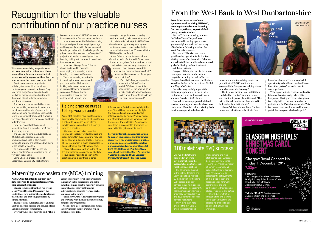## From the West Bank to West Dunbartonshire

**Four Palestinian nurses have spent two weeks visiting NHSGGC, learning about advances in caring for cancer patients, as part of their post-graduate studies.**

Gerry O'Hare, an oncology nurse at the Vale of Leven Hospital, was instrumental in setting up the postgraduate diploma with the University of Bethlehem, following a visit to the West Bank six years ago.

Gerry said: "The visit has been a great learning opportunity for the four visiting nurses. Our links with Palestine are well established and based on a shared goal of achieving the best treatment possible for patients.

"As part of their placements, the nurses have spent time at a number of our hospitals, including the Vale of Leven, Glasgow Royal Infirmary and the Beatson, as well as the Marie Curie centre at Stobhill and Maggie's Centre.

"Another way we help support the diploma programme is through video conferencing, which allows us to teach students from here in Scotland.

"As well as learning a great deal about oncology nursing practices, they have also had a taste of Scottish culture, visiting Loch Katrine, going to a football match,

museums and a fundraising event. I am proud that NHSGGC and the wider community in Glasgow are helping others in such a humanitarian way." Harb had been out of her home country and her first trip on a plane. She said: "This trip is like a dream for me; I am so glad to be learning here in Scotland." nurse in a palliative care facility in East



The trip was the first time that Khitam Khitam's fellow student Dana Nur is a

in our staff throughout thei an already highly skilled

Jerusalem. She said: "It is a wonderful opportunity to be able to travel and learn how other parts of the world care for cancer patients.

"The opportunity to come to Scotland is fabulous; I can't actually believe it is happening. Having access to this diploma is a real privilege, not just for us but our patients and for Palestine as a whole. This is a dream come true for me and I am very grateful to everyone who has helped."



With more people living longer than ever, and a national vision that patients should be cared for at home or returned to their homes as quickly as possible, the role of the practice nurse has never been more vital.

> One hundred staff were honoured at an event last month following the successful completion of their vocational qualifications. The celebration, hosted at the QEUH's Teaching and Learning building, marked 52 members of staff gaining SVQs across a range of healthcare support (clinical), pharmacy services, learning

The many and varied needs that arise from supporting patients with long-term conditions provides lots of opportunity to have meaningful relationships with people over a long period of time and this offers a very special opportunity for people and their wider families.

> Thirty-nine staff were awarded the ILM Level 3

management, and nine staff gained their European Computer Driving Licence. Anne MacPherson, director of human resources and organisational development, of this group of staff and recognise their hard work,

## 100 celebrate SVQ success



## Maternity care assistants (MCA) training

Anne Fullarton, a practice nurse from Woodside Health Centre, said: "It was very nice to be recognised for the work we do, and so lovely to meet so many other practice

**NHSGGC is delighted to support our new cohort of 20 enthusiastic maternity care assistant students.**

Having completed their first two weeks at the West of Scotland University, the students are now in their allocated maternity placements, and are being supported by clinical mentors.

The successful candidates had to undergo a robust selection process and secured places against significant competition.

Evelyn Frame, chief midwife, said: "This is

a great opportunity for all the participants taking part in the programme and at the same time a huge boost to maternity services that we have so many enthusiastic individuals who aspire to work as part of our teams in the future.

The discharge note will go to the GP in the first instance, so you should highlight if your patient needs to be seen by the practice nurse, plus if there is other

"I look forward to following their progress and working with them as they successfully complete the programme."

Well done to all of them and good luck as they progress in the programme, which concludes June 2018.

Practice nurses support patients with long-term conditions requiring continuing care to remain at home. They also make a significant contribution to medicines management and review with the overall aim of reducing avoidable hospital admissions.

Now, this special role has gained recognition from the revival of the Queen's Nurse programme.

The Queen's Nursing Institute Scotland (QNIS) is a charitable organisation promoting excellence in community nursing to improve the health and wellbeing of the people of Scotland.

Its purpose is to enable nurses who work in Scotland's communities to be the very best they can be.

Lorna Dhami, a practice nurse at Easterhouse Community Health Centre, is one of a number of NHSGGC nurses to have been awarded the Queen's Nurse candidacy. Lorna worked as a midwife before moving into general practice nursing 22 years ago, and has gained a wealth of experience and knowledge to deal with the challenges facing primary care. She has used the 'Keep Well' project to widen her knowledge and keep learning, linking in to community services to improve patient care.

Lorna said: "Being a Queen's Nurse allows me to lead by example, encouraging and inspiring others knowing I can make a difference. "This is an amazing opportunity

to take inspirational thinking and put it into action. My focus is looking to increase the number of women attending for cervical screening. We know that our uptake rates are not as high as they should be and I am

looking to change the way of providing cervical screening to increase attendance."

In collaboration with QNIS, NHSGGC has also taken the opportunity to recognise practice nurses who have worked in the community for more than 21 years with the QNIS Long Service Award.

nurses. I have been working within practice and community nursing for 27 years, and have seen a lot of changes over that time."

Patricia McGougan, a practice nurse at the Cairns Practice, added: "It's lovely to get this recognition for the work we do on a daily basis. We work long hours so it's great for our families to see we have been recognised."

## Helping practice nurses to help your patients

Acute staff regularly have to refer patients back into the community. So when referring a patient to a practice nurse, please provide as much detail on the discharge note as is possible.

Some of the specialised technical information that is everyday language and procedure within the acute world may not be well known in general practice, therefore all this information is much appreciated to ensure effective and safe patient care.

information on Portal, please highlight this also. This will help the practice highlight the expected appointment and where information can be found. Practice nurses are often time limited and some may not have same-day availability. Please make sure there is a reasonable time frame for your patient to get an appointment.

**For more information on practice nursing to support your patients and their onward journey, or if you are interested in practice nursing as a career, contact the practice nurse support and development team, tel: 0141 211 3632, email: PNA.Team@ggc. scot.nhs.uk or visit: StaffNet > Partnerships > Greater Glasgow and Clyde Services > Primary Care Support > Practice Nurses** 

## Recognition for the valuable contribution of our practice nurses



NHSGGC students alongside students from NHS Lanarkshire and Ayrshire and Arran

Lorna Dhami